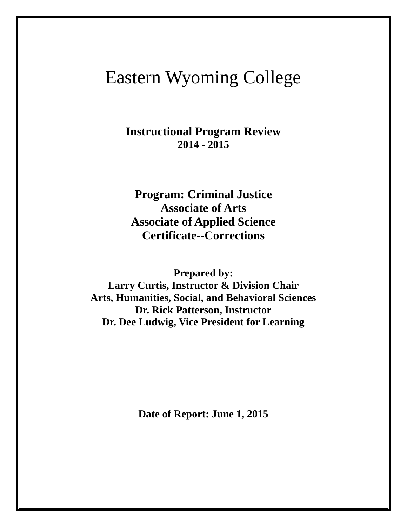# Eastern Wyoming College

**Instructional Program Review 2014 - 2015**

**Program: Criminal Justice Associate of Arts Associate of Applied Science Certificate--Corrections**

**Prepared by:** 

**Larry Curtis, Instructor & Division Chair Arts, Humanities, Social, and Behavioral Sciences Dr. Rick Patterson, Instructor Dr. Dee Ludwig, Vice President for Learning**

**Date of Report: June 1, 2015**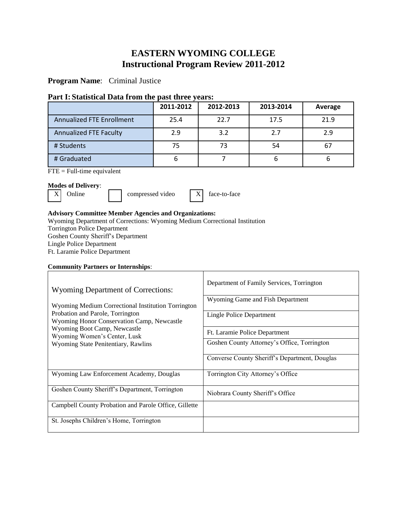# **EASTERN WYOMING COLLEGE Instructional Program Review 2011-2012**

**Program Name**: Criminal Justice

## **Part I: Statistical Data from the past three years:**

|                                  | 2011-2012 | 2012-2013 | 2013-2014 | Average |
|----------------------------------|-----------|-----------|-----------|---------|
| <b>Annualized FTE Enrollment</b> | 25.4      | 22.7      | 17.5      | 21.9    |
| <b>Annualized FTE Faculty</b>    | 2.9       | 3.2       | 2.7       | 2.9     |
| # Students                       | 75        | 73        | 54        | -67     |
| # Graduated                      | 6         |           | b         |         |

FTE = Full-time equivalent

## **Modes of Delivery**:

 $X$  Online compressed video  $X$  face-to-face

## **Advisory Committee Member Agencies and Organizations:**

Wyoming Department of Corrections: Wyoming Medium Correctional Institution Torrington Police Department Goshen County Sheriff's Department Lingle Police Department Ft. Laramie Police Department

## **Community Partners or Internships**:

| Wyoming Department of Corrections:<br>Wyoming Medium Correctional Institution Torrington<br>Probation and Parole, Torrington<br>Wyoming Honor Conservation Camp, Newcastle<br>Wyoming Boot Camp, Newcastle<br>Wyoming Women's Center, Lusk<br>Wyoming State Penitentiary, Rawlins | Department of Family Services, Torrington<br>Wyoming Game and Fish Department<br>Lingle Police Department<br>Ft. Laramie Police Department<br>Goshen County Attorney's Office, Torrington |
|-----------------------------------------------------------------------------------------------------------------------------------------------------------------------------------------------------------------------------------------------------------------------------------|-------------------------------------------------------------------------------------------------------------------------------------------------------------------------------------------|
|                                                                                                                                                                                                                                                                                   | Converse County Sheriff's Department, Douglas                                                                                                                                             |
| Wyoming Law Enforcement Academy, Douglas                                                                                                                                                                                                                                          | Torrington City Attorney's Office                                                                                                                                                         |
| Goshen County Sheriff's Department, Torrington                                                                                                                                                                                                                                    | Niobrara County Sheriff's Office                                                                                                                                                          |
| Campbell County Probation and Parole Office, Gillette                                                                                                                                                                                                                             |                                                                                                                                                                                           |
| St. Josephs Children's Home, Torrington                                                                                                                                                                                                                                           |                                                                                                                                                                                           |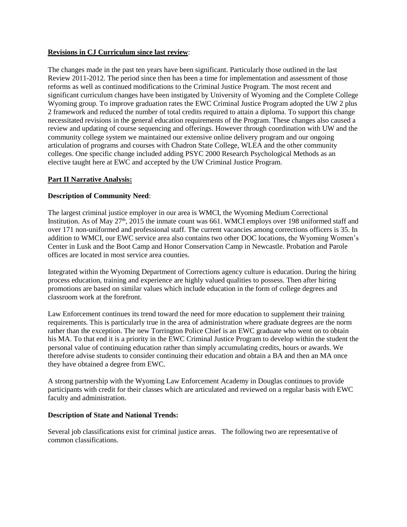## **Revisions in CJ Curriculum since last review**:

The changes made in the past ten years have been significant. Particularly those outlined in the last Review 2011-2012. The period since then has been a time for implementation and assessment of those reforms as well as continued modifications to the Criminal Justice Program. The most recent and significant curriculum changes have been instigated by University of Wyoming and the Complete College Wyoming group. To improve graduation rates the EWC Criminal Justice Program adopted the UW 2 plus 2 framework and reduced the number of total credits required to attain a diploma. To support this change necessitated revisions in the general education requirements of the Program. These changes also caused a review and updating of course sequencing and offerings. However through coordination with UW and the community college system we maintained our extensive online delivery program and our ongoing articulation of programs and courses with Chadron State College, WLEA and the other community colleges. One specific change included adding PSYC 2000 Research Psychological Methods as an elective taught here at EWC and accepted by the UW Criminal Justice Program.

## **Part II Narrative Analysis:**

## **Description of Community Need**:

The largest criminal justice employer in our area is WMCI, the Wyoming Medium Correctional Institution. As of May  $27<sup>th</sup>$ ,  $2015$  the inmate count was 661. WMCI employs over 198 uniformed staff and over 171 non-uniformed and professional staff. The current vacancies among corrections officers is 35. In addition to WMCI, our EWC service area also contains two other DOC locations, the Wyoming Women's Center in Lusk and the Boot Camp and Honor Conservation Camp in Newcastle. Probation and Parole offices are located in most service area counties.

Integrated within the Wyoming Department of Corrections agency culture is education. During the hiring process education, training and experience are highly valued qualities to possess. Then after hiring promotions are based on similar values which include education in the form of college degrees and classroom work at the forefront.

Law Enforcement continues its trend toward the need for more education to supplement their training requirements. This is particularly true in the area of administration where graduate degrees are the norm rather than the exception. The new Torrington Police Chief is an EWC graduate who went on to obtain his MA. To that end it is a priority in the EWC Criminal Justice Program to develop within the student the personal value of continuing education rather than simply accumulating credits, hours or awards. We therefore advise students to consider continuing their education and obtain a BA and then an MA once they have obtained a degree from EWC.

A strong partnership with the Wyoming Law Enforcement Academy in Douglas continues to provide participants with credit for their classes which are articulated and reviewed on a regular basis with EWC faculty and administration.

## **Description of State and National Trends:**

Several job classifications exist for criminal justice areas. The following two are representative of common classifications.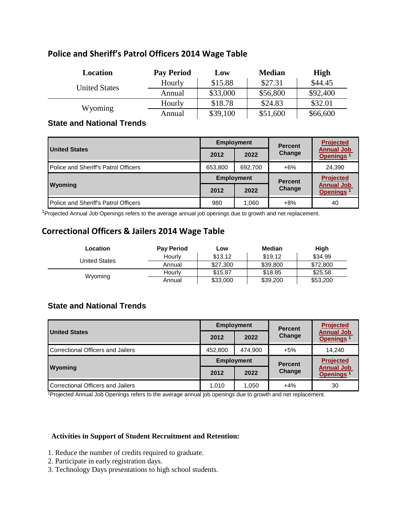## **Police and Sheriff's Patrol Officers 2014 Wage Table**

| Location             | <b>Pay Period</b> | Low      | <b>Median</b> | <b>High</b> |
|----------------------|-------------------|----------|---------------|-------------|
| <b>United States</b> | Hourly            | \$15.88  | \$27.31       | \$44.45     |
|                      | Annual            | \$33,000 | \$56,800      | \$92,400    |
|                      | Hourly            | \$18.78  | \$24.83       | \$32.01     |
| Wyoming              | Annual            | \$39,100 | \$51,600      | \$66,600    |

## **State and National Trends**

|                                      | <b>Employment</b> |         | <b>Percent</b> | <b>Projected</b>                           |
|--------------------------------------|-------------------|---------|----------------|--------------------------------------------|
| <b>United States</b>                 | 2012              | 2022    | Change         | <b>Annual Job</b><br>Openings <sup>1</sup> |
| Police and Sheriff's Patrol Officers | 653,800           | 692,700 | $+6%$          | 24,390                                     |
|                                      | <b>Employment</b> |         | <b>Percent</b> | <b>Projected</b>                           |
| Wyoming                              | 2012              | 2022    | Change         | <b>Annual Job</b><br>Openings <sup>1</sup> |
| Police and Sheriff's Patrol Officers | 980               | 1,060   | $+8%$          | 40                                         |

<sup>1</sup>Projected Annual Job Openings refers to the average annual job openings due to growth and net replacement.

# **Correctional Officers & Jailers 2014 Wage Table**

| Location             | <b>Pay Period</b> | Low      | Median                          | High     |
|----------------------|-------------------|----------|---------------------------------|----------|
| <b>United States</b> | Hourly            | \$13.12  | \$19.12                         | \$34.99  |
|                      | Annual            | \$27,300 | \$39,800<br>\$18.85<br>\$39,200 | \$72,800 |
| Wyoming              | Hourly            | \$15.87  |                                 | \$25.58  |
|                      | Annual            | \$33,000 |                                 | \$53,200 |

## **State and National Trends**

|                                   | <b>Employment</b> |         | <b>Percent</b> | <b>Projected</b>                           |
|-----------------------------------|-------------------|---------|----------------|--------------------------------------------|
| <b>United States</b>              | 2012              | 2022    | Change         | <b>Annual Job</b><br>Openings <sup>1</sup> |
| Correctional Officers and Jailers | 452,800           | 474.900 | $+5%$          | 14.240                                     |
|                                   | <b>Employment</b> |         | <b>Percent</b> | <b>Projected</b>                           |
| <b>Wyoming</b>                    | 2012              | 2022    | <b>Change</b>  | <b>Annual Job</b><br>Openings <sup>1</sup> |
| Correctional Officers and Jailers | 1.010             | 1.050   | $+4%$          | 30                                         |

<sup>1</sup>Projected Annual Job Openings refers to the average annual job openings due to growth and net replacement.

## **Activities in Support of Student Recruitment and Retention:**

- 1. Reduce the number of credits required to graduate.
- 2. Participate in early registration days.
- 3. Technology Days presentations to high school students.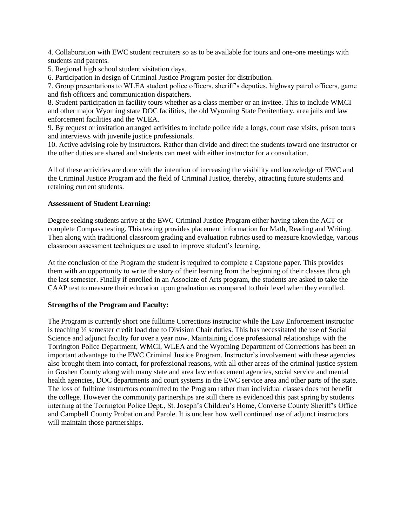4. Collaboration with EWC student recruiters so as to be available for tours and one-one meetings with students and parents.

5. Regional high school student visitation days.

6. Participation in design of Criminal Justice Program poster for distribution.

7. Group presentations to WLEA student police officers, sheriff's deputies, highway patrol officers, game and fish officers and communication dispatchers.

8. Student participation in facility tours whether as a class member or an invitee. This to include WMCI and other major Wyoming state DOC facilities, the old Wyoming State Penitentiary, area jails and law enforcement facilities and the WLEA.

9. By request or invitation arranged activities to include police ride a longs, court case visits, prison tours and interviews with juvenile justice professionals.

10. Active advising role by instructors. Rather than divide and direct the students toward one instructor or the other duties are shared and students can meet with either instructor for a consultation.

All of these activities are done with the intention of increasing the visibility and knowledge of EWC and the Criminal Justice Program and the field of Criminal Justice, thereby, attracting future students and retaining current students.

#### **Assessment of Student Learning:**

Degree seeking students arrive at the EWC Criminal Justice Program either having taken the ACT or complete Compass testing. This testing provides placement information for Math, Reading and Writing. Then along with traditional classroom grading and evaluation rubrics used to measure knowledge, various classroom assessment techniques are used to improve student's learning.

At the conclusion of the Program the student is required to complete a Capstone paper. This provides them with an opportunity to write the story of their learning from the beginning of their classes through the last semester. Finally if enrolled in an Associate of Arts program, the students are asked to take the CAAP test to measure their education upon graduation as compared to their level when they enrolled.

#### **Strengths of the Program and Faculty:**

The Program is currently short one fulltime Corrections instructor while the Law Enforcement instructor is teaching ½ semester credit load due to Division Chair duties. This has necessitated the use of Social Science and adjunct faculty for over a year now. Maintaining close professional relationships with the Torrington Police Department, WMCI, WLEA and the Wyoming Department of Corrections has been an important advantage to the EWC Criminal Justice Program. Instructor's involvement with these agencies also brought them into contact, for professional reasons, with all other areas of the criminal justice system in Goshen County along with many state and area law enforcement agencies, social service and mental health agencies, DOC departments and court systems in the EWC service area and other parts of the state. The loss of fulltime instructors committed to the Program rather than individual classes does not benefit the college. However the community partnerships are still there as evidenced this past spring by students interning at the Torrington Police Dept., St. Joseph's Children's Home, Converse County Sheriff's Office and Campbell County Probation and Parole. It is unclear how well continued use of adjunct instructors will maintain those partnerships.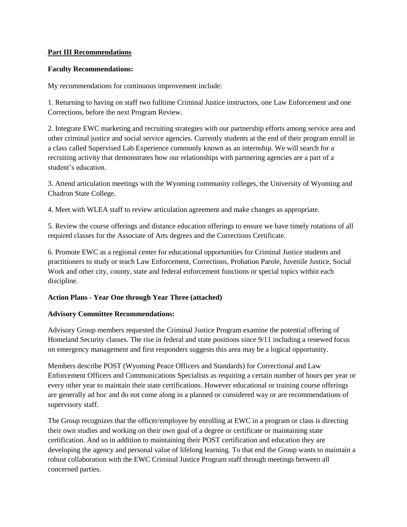## **Part III Recommendations**

## **Faculty Recommendations:**

My recommendations for continuous improvement include:

1. Returning to having on staff two fulltime Criminal Justice instructors, one Law Enforcement and one Corrections, before the next Program Review.

2. Integrate EWC marketing and recruiting strategies with our partnership efforts among service area and other criminal justice and social service agencies. Currently students at the end of their program enroll in a class called Supervised Lab Experience commonly known as an internship. We will search for a recruiting activity that demonstrates how our relationships with partnering agencies are a part of a student's education.

3. Attend articulation meetings with the Wyoming community colleges, the University of Wyoming and Chadron State College.

4. Meet with WLEA staff to review articulation agreement and make changes as appropriate.

5. Review the course offerings and distance education offerings to ensure we have timely rotations of all required classes for the Associate of Arts degrees and the Corrections Certificate.

6. Promote EWC as a regional center for educational opportunities for Criminal Justice students and practitioners to study or teach Law Enforcement, Corrections, Probation Parole, Juvenile Justice, Social Work and other city, county, state and federal enforcement functions or special topics within each discipline.

## **Action Plans - Year One through Year Three (attached)**

## **Advisory Committee Recommendations:**

Advisory Group members requested the Criminal Justice Program examine the potential offering of Homeland Security classes. The rise in federal and state positions since 9/11 including a renewed focus on emergency management and first responders suggests this area may be a logical opportunity.

Members describe POST (Wyoming Peace Officers and Standards) for Correctional and Law Enforcement Officers and Communications Specialists as requiring a certain number of hours per year or every other year to maintain their state certifications. However educational or training course offerings are generally ad hoc and do not come along in a planned or considered way or are recommendations of supervisory staff.

The Group recognizes that the officer/employee by enrolling at EWC in a program or class is directing their own studies and working on their own goal of a degree or certificate or maintaining state certification. And so in addition to maintaining their POST certification and education they are developing the agency and personal value of lifelong learning. To that end the Group wants to maintain a robust collaboration with the EWC Criminal Justice Program staff through meetings between all concerned parties.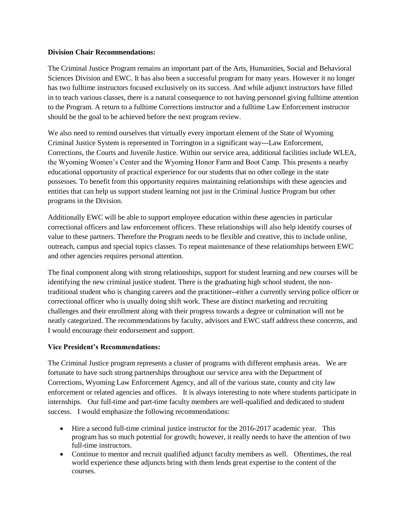## **Division Chair Recommendations:**

The Criminal Justice Program remains an important part of the Arts, Humanities, Social and Behavioral Sciences Division and EWC. It has also been a successful program for many years. However it no longer has two fulltime instructors focused exclusively on its success. And while adjunct instructors have filled in to teach various classes, there is a natural consequence to not having personnel giving fulltime attention to the Program. A return to a fulltime Corrections instructor and a fulltime Law Enforcement instructor should be the goal to be achieved before the next program review.

We also need to remind ourselves that virtually every important element of the State of Wyoming Criminal Justice System is represented in Torrington in a significant way---Law Enforcement, Corrections, the Courts and Juvenile Justice. Within our service area, additional facilities include WLEA, the Wyoming Women's Center and the Wyoming Honor Farm and Boot Camp. This presents a nearby educational opportunity of practical experience for our students that no other college in the state possesses. To benefit from this opportunity requires maintaining relationships with these agencies and entities that can help us support student learning not just in the Criminal Justice Program but other programs in the Division.

Additionally EWC will be able to support employee education within these agencies in particular correctional officers and law enforcement officers. These relationships will also help identify courses of value to these partners. Therefore the Program needs to be flexible and creative, this to include online, outreach, campus and special topics classes. To repeat maintenance of these relationships between EWC and other agencies requires personal attention.

The final component along with strong relationships, support for student learning and new courses will be identifying the new criminal justice student. There is the graduating high school student, the nontraditional student who is changing careers and the practitioner--either a currently serving police officer or correctional officer who is usually doing shift work. These are distinct marketing and recruiting challenges and their enrollment along with their progress towards a degree or culmination will not be neatly categorized. The recommendations by faculty, advisors and EWC staff address these concerns, and I would encourage their endorsement and support.

## **Vice President's Recommendations:**

The Criminal Justice program represents a cluster of programs with different emphasis areas. We are fortunate to have such strong partnerships throughout our service area with the Department of Corrections, Wyoming Law Enforcement Agency, and all of the various state, county and city law enforcement or related agencies and offices. It is always interesting to note where students participate in internships. Our full-time and part-time faculty members are well-qualified and dedicated to student success. I would emphasize the following recommendations:

- Hire a second full-time criminal justice instructor for the 2016-2017 academic year. This program has so much potential for growth; however, it really needs to have the attention of two full-time instructors.
- Continue to mentor and recruit qualified adjunct faculty members as well. Oftentimes, the real world experience these adjuncts bring with them lends great expertise to the content of the courses.